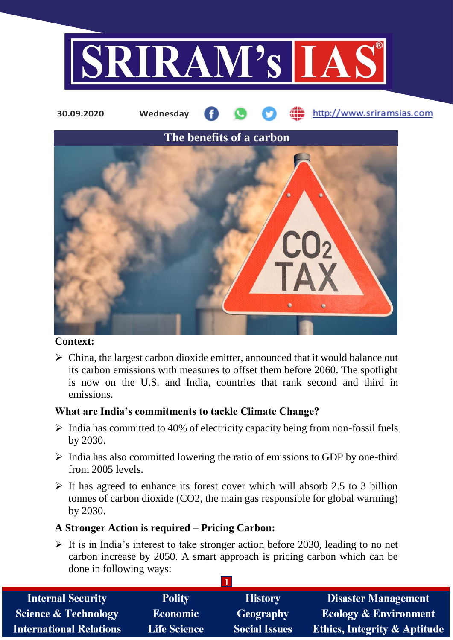



## **Context:**

 $\triangleright$  China, the largest carbon dioxide emitter, announced that it would balance out its carbon emissions with measures to offset them before 2060. The spotlight is now on the U.S. and India, countries that rank second and third in emissions.

## **What are India's commitments to tackle Climate Change?**

- $\triangleright$  India has committed to 40% of electricity capacity being from non-fossil fuels by 2030.
- $\triangleright$  India has also committed lowering the ratio of emissions to GDP by one-third from 2005 levels.
- $\triangleright$  It has agreed to enhance its forest cover which will absorb 2.5 to 3 billion tonnes of carbon dioxide (CO2, the main gas responsible for global warming) by 2030.

## **A Stronger Action is required – Pricing Carbon:**

 $\triangleright$  It is in India's interest to take stronger action before 2030, leading to no net carbon increase by 2050. A smart approach is pricing carbon which can be done in following ways:

| <b>Internal Security</b>        | <b>Polity</b>       | <b>History</b>       | <b>Disaster Management</b>              |  |  |
|---------------------------------|---------------------|----------------------|-----------------------------------------|--|--|
| <b>Science &amp; Technology</b> | <b>Economic</b>     | Geography            | <b>Ecology &amp; Environment</b>        |  |  |
| <b>International Relations</b>  | <b>Life Science</b> | <b>Social Issues</b> | <b>Ethics, Integrity &amp; Aptitude</b> |  |  |